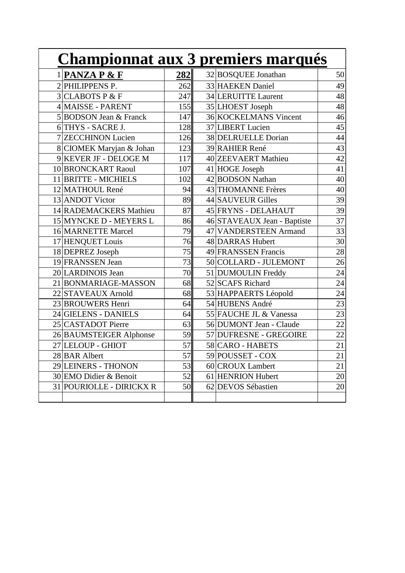| Championnat aux 3 premiers marqués |     |  |                             |                 |  |  |
|------------------------------------|-----|--|-----------------------------|-----------------|--|--|
| $1$ <b>PANZA P &amp; F</b>         | 282 |  | 32 BOSQUEE Jonathan         | 50              |  |  |
| 2 PHILIPPENS P.                    | 262 |  | 33 HAEKEN Daniel            | 49              |  |  |
| $3$ CLABOTS P & F                  | 247 |  | 34 LERUITTE Laurent         | 48              |  |  |
| 4 MAISSE - PARENT                  | 155 |  | 35 LHOEST Joseph            | 48              |  |  |
| 5 BODSON Jean & Franck             | 147 |  | 36 KOCKELMANS Vincent       | 46              |  |  |
| 6 THYS - SACRE J.                  | 128 |  | 37 LIBERT Lucien            | 45              |  |  |
| 7 ZECCHINON Lucien                 | 126 |  | 38 DELRUELLE Dorian         | 44              |  |  |
| 8 CIOMEK Maryjan & Johan           | 123 |  | 39 RAHIER René              | 43              |  |  |
| 9 KEVER JF - DELOGE M              | 117 |  | 40 ZEEVAERT Mathieu         | 42              |  |  |
| 10 BRONCKART Raoul                 | 107 |  | 41 HOGE Joseph              | 41              |  |  |
| 11 BRITTE - MICHIELS               | 102 |  | 42 BODSON Nathan            | 40              |  |  |
| 12 MATHOUL René                    | 94  |  | 43 THOMANNE Frères          | 40              |  |  |
| 13 ANDOT Victor                    | 89  |  | 44 SAUVEUR Gilles           | 39              |  |  |
| 14 RADEMACKERS Mathieu             | 87  |  | 45 FRYNS - DELAHAUT         | 39              |  |  |
| 15 MYNCKE D - MEYERS L             | 86  |  | 46 STAVEAUX Jean - Baptiste | $\overline{37}$ |  |  |
| 16 MARNETTE Marcel                 | 79  |  | 47 VANDERSTEEN Armand       | 33              |  |  |
| 17 HENQUET Louis                   | 76  |  | 48 DARRAS Hubert            | 30              |  |  |
| 18 DEPREZ Joseph                   | 75  |  | 49 FRANSSEN Francis         | 28              |  |  |
| 19 FRANSSEN Jean                   | 73  |  | 50 COLLARD - JULEMONT       | 26              |  |  |
| 20 LARDINOIS Jean                  | 70  |  | 51 DUMOULIN Freddy          | 24              |  |  |
| 21 BONMARIAGE-MASSON               | 68  |  | 52 SCAFS Richard            | 24              |  |  |
| 22 STAVEAUX Arnold                 | 68  |  | 53 HAPPAERTS Léopold        | 24              |  |  |
| 23 BROUWERS Henri                  | 64  |  | 54 HUBENS André             | 23              |  |  |
| 24 GIELENS - DANIELS               | 64  |  | 55 FAUCHE JL & Vanessa      | $\overline{23}$ |  |  |
| 25 CASTADOT Pierre                 | 63  |  | 56 DUMONT Jean - Claude     | 22              |  |  |
| 26 BAUMSTEIGER Alphonse            | 59  |  | 57 DUFRESNE - GREGOIRE      | 22              |  |  |
| 27 LELOUP - GHIOT                  | 57  |  | 58 CARO - HABETS            | 21              |  |  |
| 28 BAR Albert                      | 57  |  | 59 POUSSET - COX            | 21              |  |  |
| 29 LEINERS - THONON                | 53  |  | 60 CROUX Lambert            | 21              |  |  |
| 30 EMO Didier & Benoit             | 52  |  | 61 HENRION Hubert           | 20              |  |  |
| 31 POURIOLLE - DIRICKX R           | 50  |  | 62 DEVOS Sébastien          | 20              |  |  |
|                                    |     |  |                             |                 |  |  |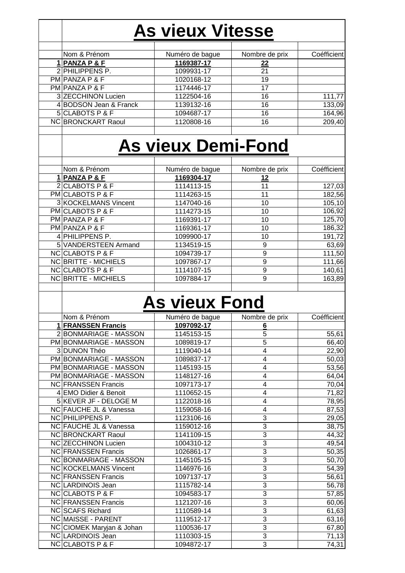| Nom & Prénom                                                                                                                                                                 | Numéro de bague           | Nombre de prix | Coéfficient                                    |
|------------------------------------------------------------------------------------------------------------------------------------------------------------------------------|---------------------------|----------------|------------------------------------------------|
| 1 PANZA P & F                                                                                                                                                                | 1169387-17                | 22             |                                                |
| 2 PHILIPPENS P.                                                                                                                                                              | 1099931-17                | 21             |                                                |
| PM PANZA P & F                                                                                                                                                               | 1020168-12                | 19             |                                                |
| PM PANZA P & F                                                                                                                                                               | 1174446-17                | 17             |                                                |
| 3 ZECCHINON Lucien                                                                                                                                                           | 1122504-16                | 16             | 111,77                                         |
| 4 BODSON Jean & Franck                                                                                                                                                       | 1139132-16                | 16             | 133,09                                         |
| 5 CLABOTS P & F                                                                                                                                                              | 1094687-17                | 16             | 164,96                                         |
| NC BRONCKART Raoul                                                                                                                                                           | 1120808-16                | 16             | 209,40                                         |
|                                                                                                                                                                              | <b>As vieux Demi-Fond</b> |                |                                                |
|                                                                                                                                                                              |                           |                |                                                |
| Nom & Prénom                                                                                                                                                                 | Numéro de bague           | Nombre de prix | Coéfficient                                    |
| 1 PANZA P & F                                                                                                                                                                | 1169304-17                | 12             |                                                |
| 2 CLABOTS P & F                                                                                                                                                              | 1114113-15                | 11             |                                                |
|                                                                                                                                                                              | 1114263-15                | 11             |                                                |
| 3 KOCKELMANS Vincent                                                                                                                                                         | 1147040-16                | 10             |                                                |
|                                                                                                                                                                              | 1114273-15                | 10             |                                                |
|                                                                                                                                                                              | 1169391-17                | 10             | 127,03<br>182,56<br>105,10<br>106,92<br>125,70 |
|                                                                                                                                                                              | 1169361-17                | 10             |                                                |
| 4 PHILIPPENS P.                                                                                                                                                              | 1099900-17                | 10             | 186,32<br>191,72                               |
| 5 VANDERSTEEN Armand                                                                                                                                                         | 1134519-15                | 9              |                                                |
|                                                                                                                                                                              | 1094739-17                | $\overline{9}$ | 63,69<br>111,50                                |
|                                                                                                                                                                              | 1097867-17                | 9              |                                                |
| PM CLABOTS P & F<br>PM CLABOTS P & F<br>PM PANZA P & F<br>PM PANZA P & F<br>NCCLABOTS P & F<br><b>NC BRITTE - MICHIELS</b><br>NCCLABOTS P & F<br><b>NC BRITTE - MICHIELS</b> | 1114107-15<br>1097884-17  | 9<br>9         | 111,66<br>140,61<br>163,89                     |

| Nom & Prénom              | Numéro de bague | Nombre de prix          | Coéfficient |
|---------------------------|-----------------|-------------------------|-------------|
| 1 FRANSSEN Francis        | 1097092-17      | 6                       |             |
| 2 BONMARIAGE - MASSON     | 1145153-15      | 5                       | 55,61       |
| PM BONMARIAGE - MASSON    | 1089819-17      | 5                       | 66,40       |
| 3 DUNON Théo              | 1119040-14      | $\overline{\mathbf{4}}$ | 22,90       |
| PM BONMARIAGE - MASSON    | 1089837-17      | 4                       | 50,03       |
| PM BONMARIAGE - MASSON    | 1145193-15      | $\overline{\mathbf{4}}$ | 53,56       |
| PM BONMARIAGE - MASSON    | 1148127-16      | 4                       | 64,04       |
| NC FRANSSEN Francis       | 1097173-17      | $\overline{\mathbf{4}}$ | 70,04       |
| 4 EMO Didier & Benoit     | 1110652-15      | 4                       | 71,82       |
| 5 KEVER JF - DELOGE M     | 1122018-16      | $\overline{\mathbf{4}}$ | 78,95       |
| NC FAUCHE JL & Vanessa    | 1159058-16      | 4                       | 87,53       |
| NC PHILIPPENS P.          | 1123106-16      | 3                       | 29,05       |
| NC FAUCHE JL & Vanessa    | 1159012-16      | 3                       | 38,75       |
| NC BRONCKART Raoul        | 1141109-15      | 3                       | 44,32       |
| NC ZECCHINON Lucien       | 1004310-12      | 3                       | 49,54       |
| NC FRANSSEN Francis       | 1026861-17      | 3                       | 50,35       |
| NC BONMARIAGE - MASSON    | 1145105-15      | 3                       | 50,70       |
| NC KOCKELMANS Vincent     | 1146976-16      | 3                       | 54,39       |
| NC FRANSSEN Francis       | 1097137-17      | 3                       | 56,61       |
| NC LARDINOIS Jean         | 1115782-14      | 3                       | 56,78       |
| NCCLABOTS P & F           | 1094583-17      | $\overline{3}$          | 57,85       |
| NC FRANSSEN Francis       | 1121207-16      | 3                       | 60,06       |
| NC SCAFS Richard          | 1110589-14      | 3                       | 61,63       |
| NC MAISSE - PARENT        | 1119512-17      | 3                       | 63,16       |
| NC CIOMEK Maryjan & Johan | 1100536-17      | 3                       | 67,80       |
| NC LARDINOIS Jean         | 1110303-15      | $\overline{3}$          | 71,13       |
| NCCLABOTS P & F           | 1094872-17      | $\overline{3}$          | 74,31       |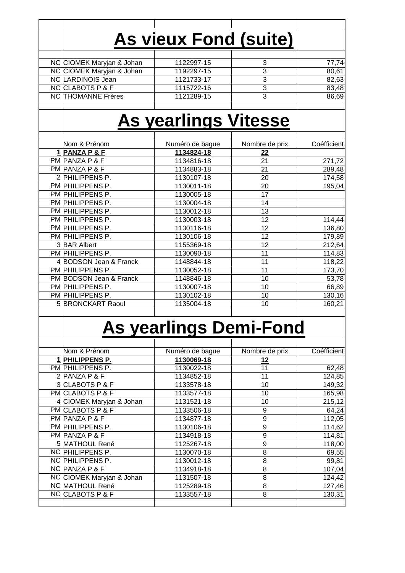## **As vieux Fond (suite)**

| NC CIOMEK Maryjan & Johan | 1122997-15 | 77.74I |
|---------------------------|------------|--------|
| NC CIOMEK Maryjan & Johan | 1192297-15 | 80,61  |
| NC LARDINOIS Jean         | 1121733-17 | 82,63  |
| NCCLABOTS P & F           | 1115722-16 | 83,48  |
| NC THOMANNE Frères        | 1121289-15 | 86,69  |
|                           |            |        |

## **As yearlings Vitesse**

| Nom & Prénom            | Numéro de bague | Nombre de prix | Coéfficient |
|-------------------------|-----------------|----------------|-------------|
| 1 PANZA P & F           | 1134824-18      | 22             |             |
| PM PANZA P & F          | 1134816-18      | 21             | 271,72      |
| PM PANZA P & F          | 1134883-18      | 21             | 289,48      |
| 2 PHILIPPENS P.         | 1130107-18      | 20             | 174,58      |
| PM PHILIPPENS P.        | 1130011-18      | 20             | 195,04      |
| PM PHILIPPENS P.        | 1130005-18      | 17             |             |
| PM PHILIPPENS P.        | 1130004-18      | 14             |             |
| PM PHILIPPENS P.        | 1130012-18      | 13             |             |
| PM PHILIPPENS P.        | 1130003-18      | 12             | 114,44      |
| PM PHILIPPENS P.        | 1130116-18      | 12             | 136,80      |
| PM PHILIPPENS P.        | 1130106-18      | 12             | 179,89      |
| 3 BAR Albert            | 1155369-18      | 12             | 212,64      |
| PM PHILIPPENS P.        | 1130090-18      | 11             | 114,83      |
| 4 BODSON Jean & Franck  | 1148844-18      | 11             | 118,22      |
| PM PHILIPPENS P.        | 1130052-18      | 11             | 173,70      |
| PM BODSON Jean & Franck | 1148846-18      | 10             | 53,78       |
| PM PHILIPPENS P.        | 1130007-18      | 10             | 66,89       |
| PM PHILIPPENS P.        | 1130102-18      | 10             | 130, 16     |
| 5 BRONCKART Raoul       | 1135004-18      | 10             | 160,21      |
|                         |                 |                |             |

## **As yearlings Demi-Fond**

| Nom & Prénom              | Numéro de bague | Nombre de prix | Coéfficient |
|---------------------------|-----------------|----------------|-------------|
| 1 PHILIPPENS P.           | 1130069-18      | <u> 12</u>     |             |
| PM PHILIPPENS P.          | 1130022-18      | 11             | 62,48       |
| $2$ PANZA P & F           | 1134852-18      | 11             | 124,85      |
| 3 CLABOTS P & F           | 1133578-18      | 10             | 149,32      |
| PM CLABOTS P & F          | 1133577-18      | 10             | 165,98      |
| 4 CIOMEK Maryjan & Johan  | 1131521-18      | 10             | 215,12      |
| PMCLABOTS P & F           | 1133506-18      | 9              | 64,24       |
| PM PANZA P & F            | 1134877-18      | 9              | 112,05      |
| PM PHILIPPENS P.          | 1130106-18      | 9              | 114,62      |
| PM PANZA P & F            | 1134918-18      | 9              | 114,81      |
| 5 MATHOUL René            | 1125267-18      | 9              | 118,00      |
| NC PHILIPPENS P.          | 1130070-18      | 8              | 69,55       |
| NC PHILIPPENS P.          | 1130012-18      | 8              | 99,81       |
| NC PANZA P & F            | 1134918-18      | 8              | 107,04      |
| NC CIOMEK Maryjan & Johan | 1131507-18      | 8              | 124,42      |
| NC MATHOUL René           | 1125289-18      | 8              | 127,46      |
| NCCLABOTS P & F           | 1133557-18      | 8              | 130,31      |
|                           |                 |                |             |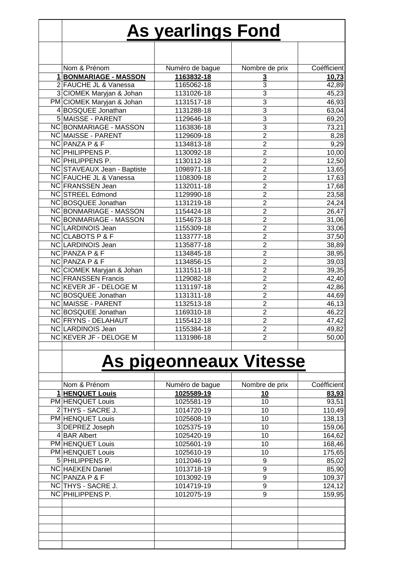|                             | <b>As yearlings Fond</b> |                |             |
|-----------------------------|--------------------------|----------------|-------------|
|                             |                          |                |             |
| Nom & Prénom                | Numéro de bague          | Nombre de prix | Coéfficient |
| 1BONMARIAGE - MASSON        | 1163832-18               |                | 10,73       |
| 2 FAUCHE JL & Vanessa       | 1165062-18               | $\frac{3}{3}$  | 42,89       |
| 3 CIOMEK Maryjan & Johan    | 1131026-18               | $\overline{3}$ | 45,23       |
| PM CIOMEK Maryjan & Johan   | 1131517-18               | $\overline{3}$ | 46,93       |
| 4 BOSQUEE Jonathan          | 1131288-18               | $\overline{3}$ | 63,04       |
| 5 MAISSE - PARENT           | 1129646-18               | 3              | 69,20       |
| NC BONMARIAGE - MASSON      | 1163836-18               | $\overline{3}$ | 73,21       |
| <b>NC MAISSE - PARENT</b>   | 1129609-18               | $\overline{c}$ | 8,28        |
| NC PANZA P & F              | 1134813-18               | $\overline{2}$ | 9,29        |
| NC PHILIPPENS P.            | 1130092-18               | $\overline{2}$ | 10,00       |
| NC PHILIPPENS P.            | 1130112-18               | $\overline{2}$ | 12,50       |
| NC STAVEAUX Jean - Baptiste | 1098971-18               | $\overline{2}$ | 13,65       |
| NC FAUCHE JL & Vanessa      | 1108309-18               | $\overline{2}$ | 17,63       |
| NC FRANSSEN Jean            | 1132011-18               | $\overline{c}$ | 17,68       |
| NC STREEL Edmond            | 1129990-18               | $\overline{2}$ | 23,58       |
| NC BOSQUEE Jonathan         | 1131219-18               | $\overline{2}$ | 24,24       |
| NC BONMARIAGE - MASSON      | 1154424-18               | $\overline{2}$ | 26,47       |
| NC BONMARIAGE - MASSON      | 1154673-18               | $\overline{2}$ | 31,06       |
| NC LARDINOIS Jean           | 1155309-18               | $\overline{2}$ | 33,06       |
| NCCLABOTS P & F             | 1133777-18               | $\overline{2}$ | 37,50       |
| NC LARDINOIS Jean           | 1135877-18               | $\overline{2}$ | 38,89       |
| NC PANZA P & F              | 1134845-18               | $\overline{2}$ | 38,95       |
| NC PANZA P & F              | 1134856-15               | $\overline{2}$ | 39,03       |
| NC CIOMEK Maryjan & Johan   | 1131511-18               | $\overline{2}$ | 39,35       |
| <b>NC FRANSSEN Francis</b>  | 1129082-18               | $\overline{2}$ | 42,40       |
| NC KEVER JF - DELOGE M      | 1131197-18               | $\overline{2}$ | 42,86       |
| NC BOSQUEE Jonathan         | 1131311-18               | $\overline{2}$ | 44,69       |
| <b>NC MAISSE - PARENT</b>   | 1132513-18               | $\overline{c}$ | 46,13       |
| NC BOSQUEE Jonathan         | 1169310-18               | $\overline{2}$ | 46,22       |
| NC FRYNS - DELAHAUT         | 1155412-18               | $\overline{2}$ | 47,42       |
| NC LARDINOIS Jean           | 1155384-18               | $\overline{2}$ | 49,82       |
| NC KEVER JF - DELOGE M      | 1131986-18               | $\overline{2}$ | 50,00       |
|                             |                          |                |             |
|                             |                          |                |             |

## **As pigeonneaux Vitesse**

| Nom & Prénom            | Numéro de bague | Nombre de prix  | Coéfficient |
|-------------------------|-----------------|-----------------|-------------|
| <b>HENQUET Louis</b>    | 1025589-19      | <u>10</u>       | 83,93       |
| PM HENQUET Louis        | 1025581-19      | 10 <sup>1</sup> | 93,51       |
| 2 THYS - SACRE J.       | 1014720-19      | 10              | 110,49      |
| <b>PM HENQUET Louis</b> | 1025608-19      | 10              | 138,13      |
| 3 DEPREZ Joseph         | 1025375-19      | 10              | 159,06      |
| 4 BAR Albert            | 1025420-19      | 10              | 164,62      |
| PM HENQUET Louis        | 1025601-19      | 10              | 168,46      |
| <b>PM HENQUET Louis</b> | 1025610-19      | 10              | 175,65      |
| 5 PHILIPPENS P.         | 1012046-19      | 9               | 85,02       |
| NC HAEKEN Daniel        | 1013718-19      | 9               | 85,90       |
| NC PANZA P & F          | 1013092-19      | 9               | 109,37      |
| NC THYS - SACRE J.      | 1014719-19      | 9               | 124,12      |
| NC PHILIPPENS P.        | 1012075-19      | 9               | 159,95      |
|                         |                 |                 |             |
|                         |                 |                 |             |
|                         |                 |                 |             |
|                         |                 |                 |             |
|                         |                 |                 |             |
|                         |                 |                 |             |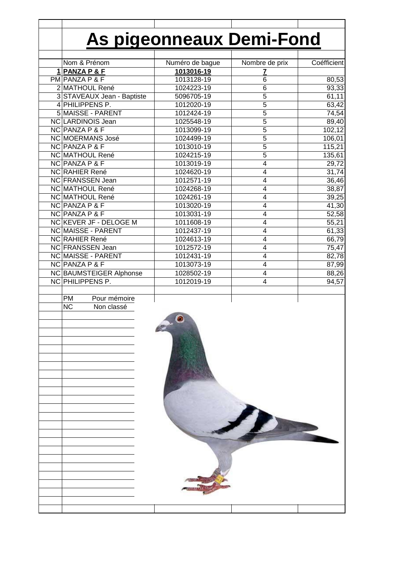|                            | As pigeonneaux Demi-Fond |                |             |
|----------------------------|--------------------------|----------------|-------------|
|                            |                          |                |             |
| Nom & Prénom               | Numéro de bague          | Nombre de prix | Coéfficient |
| $1$ PANZA P & F            | 1013016-19               | 7              |             |
| PM PANZA P & F             | 1013128-19               | 6              | 80,53       |
| 2 MATHOUL René             | 1024223-19               | 6              | 93,33       |
| 3 STAVEAUX Jean - Baptiste | 5096705-19               | 5              | 61,11       |
| 4 PHILIPPENS P.            | 1012020-19               | 5              | 63,42       |
| 5 MAISSE - PARENT          | 1012424-19               | 5              | 74,54       |
| NC LARDINOIS Jean          | 1025548-19               | 5              | 89,40       |
| NC PANZA P & F             | 1013099-19               | $\overline{5}$ | 102,12      |
| NC MOERMANS José           | 1024499-19               | 5              | 106,01      |
| NC PANZA P & F             | 1013010-19               | $\overline{5}$ | 115,21      |
| NC MATHOUL René            | 1024215-19               | 5              |             |
|                            |                          | 4              | 135,61      |
| NC PANZA P & F             | 1013019-19               | 4              | 29,72       |
| NC RAHIER René             | 1024620-19               |                | 31,74       |
| NC FRANSSEN Jean           | 1012571-19               | 4              | 36,46       |
| NC MATHOUL René            | 1024268-19               | 4              | 38,87       |
| NC MATHOUL René            | 1024261-19               | 4              | 39,25       |
| NC PANZA P & F             | 1013020-19               | 4              | 41,30       |
| NC PANZA P & F             | 1013031-19               | 4              | 52,58       |
| NC KEVER JF - DELOGE M     | 1011608-19               | 4              | 55,21       |
| NC MAISSE - PARENT         | 1012437-19               | 4              | 61,33       |
| NC RAHIER René             | 1024613-19               | 4              | 66,79       |
| NC FRANSSEN Jean           | 1012572-19               | 4              | 75,47       |
| NC MAISSE - PARENT         | 1012431-19               | 4              | 82,78       |
| NC PANZA P & F             | 1013073-19               | 4              | 87,99       |
| NC BAUMSTEIGER Alphonse    | 1028502-19               | 4              | 88,26       |
| NC PHILIPPENS P.           | 1012019-19               | 4              | 94,57       |
|                            |                          |                |             |
| Pour mémoire<br><b>PM</b>  |                          |                |             |
| <b>NC</b><br>Non classé    |                          |                |             |
|                            | $\bullet$                |                |             |
|                            |                          |                |             |
|                            |                          |                |             |
|                            |                          |                |             |
|                            |                          |                |             |
|                            |                          |                |             |
|                            |                          |                |             |
|                            |                          |                |             |
|                            |                          |                |             |
|                            |                          |                |             |
|                            |                          |                |             |
|                            |                          |                |             |
|                            |                          |                |             |
|                            |                          |                |             |
|                            |                          |                |             |
|                            |                          |                |             |
|                            |                          |                |             |
|                            |                          |                |             |
|                            |                          |                |             |
|                            |                          |                |             |
|                            |                          |                |             |
|                            |                          |                |             |
|                            |                          |                |             |
|                            |                          |                |             |
|                            |                          |                |             |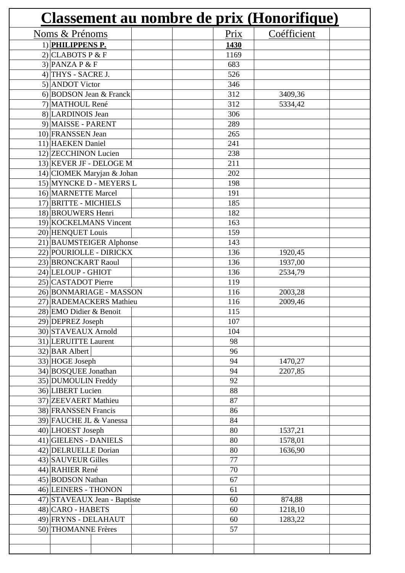| Classement au nombre de prix (Honorifique) |      |             |  |
|--------------------------------------------|------|-------------|--|
| Noms & Prénoms                             | Prix | Coéfficient |  |
| 1) PHILIPPENS P.                           | 1430 |             |  |
| 2) CLABOTS P & F                           | 1169 |             |  |
| 3) PANZA P & F                             | 683  |             |  |
| 4) THYS - SACRE J.                         | 526  |             |  |
| 5) ANDOT Victor                            | 346  |             |  |
| $6$  BODSON Jean & Franck                  | 312  | 3409,36     |  |
| 7) MATHOUL René                            | 312  | 5334,42     |  |
| 8) LARDINOIS Jean                          | 306  |             |  |
| 9) MAISSE - PARENT                         | 289  |             |  |
| 10) FRANSSEN Jean                          | 265  |             |  |
| 11) HAEKEN Daniel                          | 241  |             |  |
|                                            |      |             |  |
| 12) ZECCHINON Lucien                       | 238  |             |  |
| 13) KEVER JF - DELOGE M                    | 211  |             |  |
| 14) CIOMEK Maryjan & Johan                 | 202  |             |  |
| 15) MYNCKE D - MEYERS L                    | 198  |             |  |
| 16) MARNETTE Marcel                        | 191  |             |  |
| $17$ BRITTE - MICHIELS                     | 185  |             |  |
| 18) BROUWERS Henri                         | 182  |             |  |
| 19) KOCKELMANS Vincent                     | 163  |             |  |
| 20) HENQUET Louis                          | 159  |             |  |
| 21) BAUMSTEIGER Alphonse                   | 143  |             |  |
| 22) POURIOLLE - DIRICKX                    | 136  | 1920,45     |  |
| 23) BRONCKART Raoul                        | 136  | 1937,00     |  |
| 24) LELOUP - GHIOT                         | 136  | 2534,79     |  |
| 25) CASTADOT Pierre                        | 119  |             |  |
| 26) BONMARIAGE - MASSON                    | 116  | 2003,28     |  |
| 27) RADEMACKERS Mathieu                    | 116  | 2009,46     |  |
| 28) EMO Didier & Benoit                    | 115  |             |  |
| 29) DEPREZ Joseph                          | 107  |             |  |
| 30) STAVEAUX Arnold                        | 104  |             |  |
| 31) LERUITTE Laurent                       | 98   |             |  |
| 32) BAR Albert                             | 96   |             |  |
| 33) HOGE Joseph                            | 94   | 1470,27     |  |
| 34) BOSQUEE Jonathan                       | 94   | 2207,85     |  |
| 35) DUMOULIN Freddy                        | 92   |             |  |
| 36) LIBERT Lucien                          | 88   |             |  |
| 37) ZEEVAERT Mathieu                       | 87   |             |  |
| 38) FRANSSEN Francis                       | 86   |             |  |
| 39) FAUCHE JL & Vanessa                    | 84   |             |  |
| 40) LHOEST Joseph                          | 80   | 1537,21     |  |
| $41$ ) GIELENS - DANIELS                   | 80   | 1578,01     |  |
| 42) DELRUELLE Dorian                       | 80   | 1636,90     |  |
| 43) SAUVEUR Gilles                         | 77   |             |  |
| 44) RAHIER René                            | 70   |             |  |
| 45) BODSON Nathan                          | 67   |             |  |
| 46) LEINERS - THONON                       | 61   |             |  |
| 47) STAVEAUX Jean - Baptiste               | 60   | 874,88      |  |
| 48) CARO - HABETS                          | 60   | 1218,10     |  |
| 49) FRYNS - DELAHAUT                       | 60   | 1283,22     |  |
| 50) THOMANNE Frères                        | 57   |             |  |
|                                            |      |             |  |
|                                            |      |             |  |
|                                            |      |             |  |